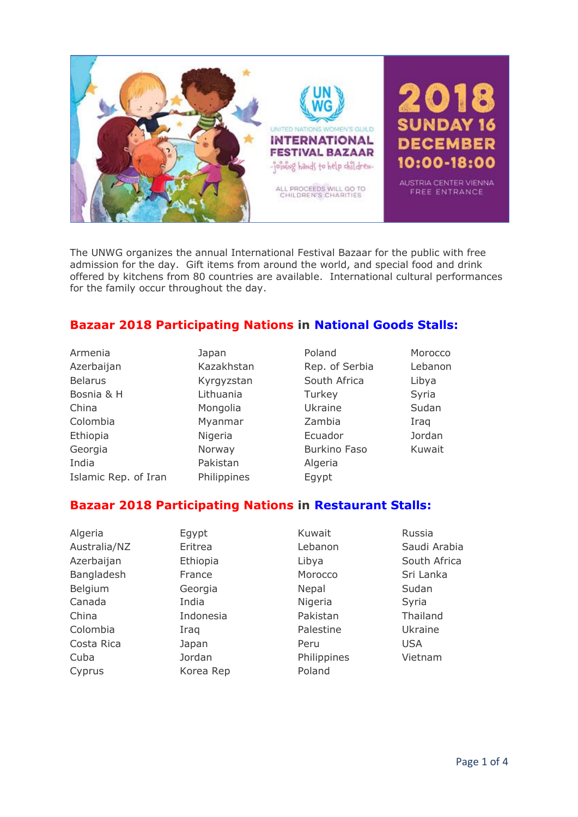

The UNWG organizes the annual International Festival Bazaar for the public with free admission for the day. Gift items from around the world, and special food and drink offered by kitchens from 80 countries are available. International cultural performances for the family occur throughout the day.

# **Bazaar 2018 Participating Nations in National Goods Stalls:**

| Armenia              | Japan       | Poland              | Morocco |
|----------------------|-------------|---------------------|---------|
| Azerbaijan           | Kazakhstan  | Rep. of Serbia      | Lebanon |
| <b>Belarus</b>       | Kyrgyzstan  | South Africa        | Libya   |
| Bosnia & H           | Lithuania   | Turkey              | Syria   |
| China                | Mongolia    | Ukraine             | Sudan   |
| Colombia             | Myanmar     | Zambia              | Iraq    |
| Ethiopia             | Nigeria     | Ecuador             | Jordan  |
| Georgia              | Norway      | <b>Burkino Faso</b> | Kuwait  |
| India                | Pakistan    | Algeria             |         |
| Islamic Rep. of Iran | Philippines | Egypt               |         |

# **Bazaar 2018 Participating Nations in Restaurant Stalls:**

| Algeria      | Egypt     | Kuwait      | Russia       |
|--------------|-----------|-------------|--------------|
| Australia/NZ | Eritrea   | Lebanon     | Saudi Arabia |
| Azerbaijan   | Ethiopia  | Libya       | South Africa |
| Bangladesh   | France    | Morocco     | Sri Lanka    |
| Belgium      | Georgia   | Nepal       | Sudan        |
| Canada       | India     | Nigeria     | Syria        |
| China        | Indonesia | Pakistan    | Thailand     |
| Colombia     | Iraq      | Palestine   | Ukraine      |
| Costa Rica   | Japan     | Peru        | <b>USA</b>   |
| Cuba         | Jordan    | Philippines | Vietnam      |
| Cyprus       | Korea Rep | Poland      |              |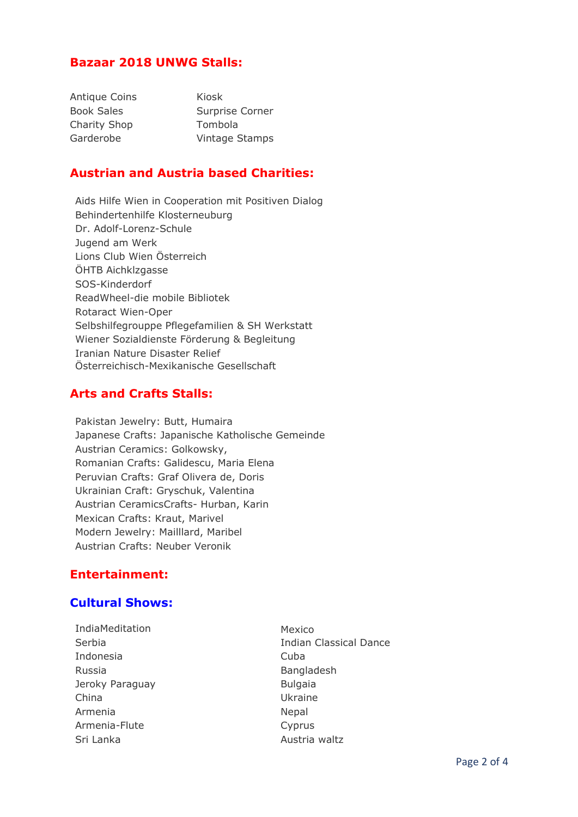### **Bazaar 2018 UNWG Stalls:**

| <b>Antique Coins</b> | Kiosk           |
|----------------------|-----------------|
| <b>Book Sales</b>    | Surprise Corner |
| <b>Charity Shop</b>  | Tombola         |
| Garderobe            | Vintage Stamps  |

### **Austrian and Austria based Charities:**

Aids Hilfe Wien in Cooperation mit Positiven Dialog Behindertenhilfe Klosterneuburg Dr. Adolf-Lorenz-Schule Jugend am Werk Lions Club Wien Österreich ÖHTB Aichklzgasse SOS-Kinderdorf ReadWheel-die mobile Bibliotek Rotaract Wien-Oper Selbshilfegrouppe Pflegefamilien & SH Werkstatt Wiener Sozialdienste Förderung & Begleitung Iranian Nature Disaster Relief Österreichisch-Mexikanische Gesellschaft

### **Arts and Crafts Stalls:**

Pakistan Jewelry: Butt, Humaira Japanese Crafts: Japanische Katholische Gemeinde Austrian Ceramics: Golkowsky, Romanian Crafts: Galidescu, Maria Elena Peruvian Crafts: Graf Olivera de, Doris Ukrainian Craft: Gryschuk, Valentina Austrian CeramicsCrafts- Hurban, Karin Mexican Crafts: Kraut, Marivel Modern Jewelry: Mailllard, Maribel Austrian Crafts: Neuber Veronik

# **Entertainment:**

#### **Cultural Shows:**

- IndiaMeditation Mexico Indonesia Cuba Russia **Bangladesh** Jeroky Paraguay **Bulgaia** China Ukraine Armenia **Nepal** Armenia-Flute Cyprus Sri Lanka **Austria waltz**
- Serbia **Indian Classical Dance**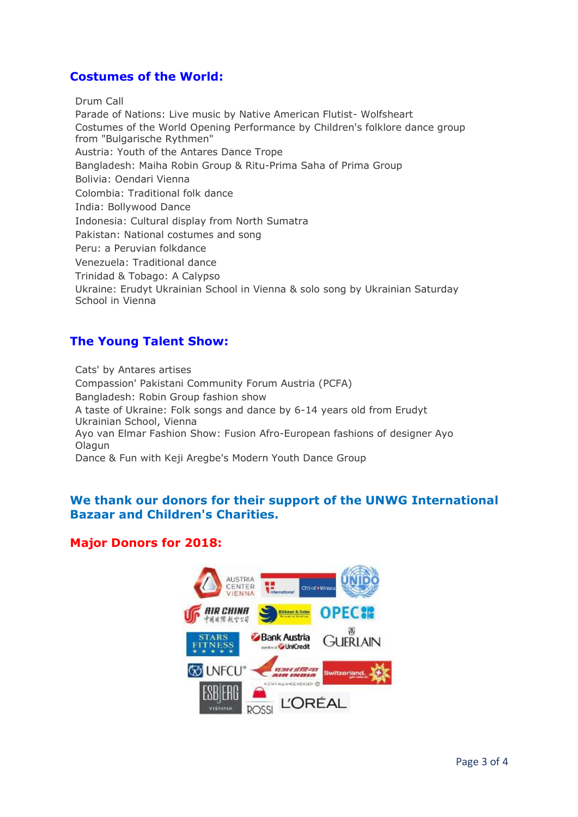# **Costumes of the World:**

Drum Call

Parade of Nations: Live music by Native American Flutist- Wolfsheart Costumes of the World Opening Performance by Children's folklore dance group from "Bulgarische Rythmen" Austria: Youth of the Antares Dance Trope Bangladesh: Maiha Robin Group & Ritu-Prima Saha of Prima Group Bolivia: Oendari Vienna Colombia: Traditional folk dance India: Bollywood Dance Indonesia: Cultural display from North Sumatra Pakistan: National costumes and song Peru: a Peruvian folkdance Venezuela: Traditional dance Trinidad & Tobago: A Calypso Ukraine: Erudyt Ukrainian School in Vienna & solo song by Ukrainian Saturday School in Vienna

# **The Young Talent Show:**

Cats' by Antares artises Compassion' Pakistani Community Forum Austria (PCFA) Bangladesh: Robin Group fashion show A taste of Ukraine: Folk songs and dance by 6-14 years old from Erudyt Ukrainian School, Vienna Ayo van Elmar Fashion Show: Fusion Afro-European fashions of designer Ayo Olagun Dance & Fun with Keji Aregbe's Modern Youth Dance Group

# **We thank our donors for their support of the UNWG International Bazaar and Children's Charities.**

# **Major Donors for 2018:**